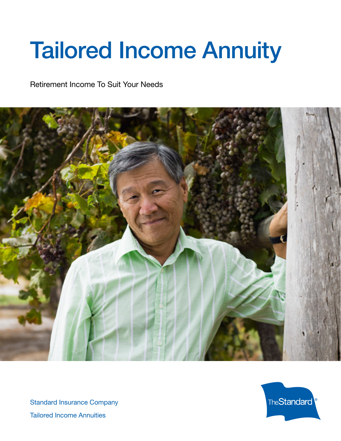# Tailored Income Annuity

Retirement Income To Suit Your Needs





Standard Insurance Company Tailored Income Annuities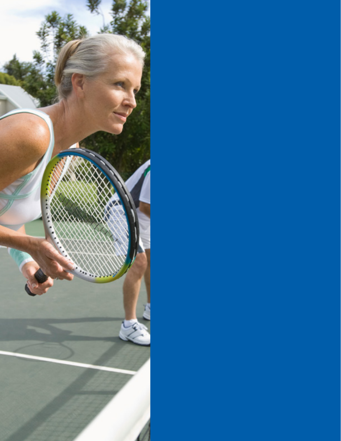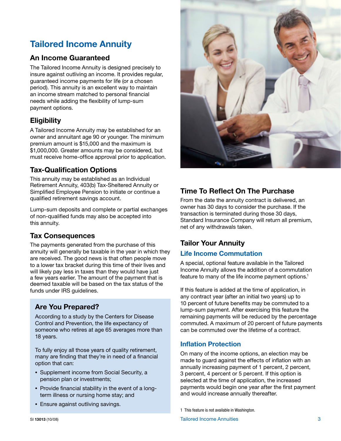# **Tailored Income Annuity**

## **An Income Guaranteed**

The Tailored Income Annuity is designed precisely to insure against outliving an income. It provides regular, guaranteed income payments for life (or a chosen period). This annuity is an excellent way to maintain an income stream matched to personal financial needs while adding the flexibility of lump-sum payment options.

## **Eligibility**

A Tailored Income Annuity may be established for an owner and annuitant age 90 or younger. The minimum premium amount is \$15,000 and the maximum is \$1,000,000. Greater amounts may be considered, but must receive home-office approval prior to application.

## **Tax-Qualification Options**

This annuity may be established as an Individual Retirement Annuity, 403(b) Tax-Sheltered Annuity or Simplified Employee Pension to initiate or continue a qualified retirement savings account.

Lump-sum deposits and complete or partial exchanges of non-qualified funds may also be accepted into this annuity.

## **Tax Consequences**

The payments generated from the purchase of this annuity will generally be taxable in the year in which they are received. The good news is that often people move to a lower tax bracket during this time of their lives and will likely pay less in taxes than they would have just a few years earlier. The amount of the payment that is deemed taxable will be based on the tax status of the funds under IRS guidelines.

## **Are You Prepared?**

According to a study by the Centers for Disease Control and Prevention, the life expectancy of someone who retires at age 65 averages more than 18 years.

To fully enjoy all those years of quality retirement, many are finding that they're in need of a financial option that can:

- Supplement income from Social Security, a pension plan or investments;
- Provide financial stability in the event of a longterm illness or nursing home stay; and
- Ensure against outliving savings.



## **Time To Reflect On The Purchase**

From the date the annuity contract is delivered, an owner has 30 days to consider the purchase. If the transaction is terminated during those 30 days, Standard Insurance Company will return all premium, net of any withdrawals taken.

## **Tailor Your Annuity**

## **Life Income Commutation**

A special, optional feature available in the Tailored Income Annuity allows the addition of a commutation feature to many of the life income payment options.<sup>1</sup>

If this feature is added at the time of application, in any contract year (after an initial two years) up to 10 percent of future benefits may be commuted to a lump-sum payment. After exercising this feature the remaining payments will be reduced by the percentage commuted. A maximum of 20 percent of future payments can be commuted over the lifetime of a contract.

## **Inflation Protection**

On many of the income options, an election may be made to guard against the effects of inflation with an annually increasing payment of 1 percent, 2 percent, 3 percent, 4 percent or 5 percent. If this option is selected at the time of application, the increased payments would begin one year after the first payment and would increase annually thereafter.

<sup>1</sup> This feature is not available in Washington.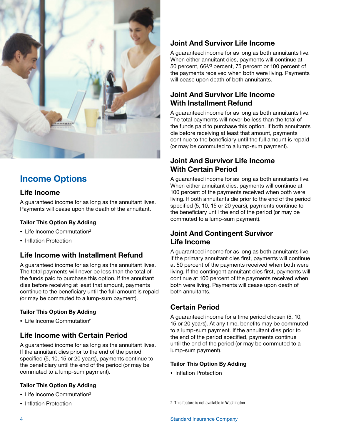

# **Income Options**

## **Life Income**

A guaranteed income for as long as the annuitant lives. Payments will cease upon the death of the annuitant.

#### **Tailor This Option By Adding**

- Life Income Commutation<sup>2</sup>
- Inflation Protection

## **Life Income with Installment Refund**

A guaranteed income for as long as the annuitant lives. The total payments will never be less than the total of the funds paid to purchase this option. If the annuitant dies before receiving at least that amount, payments continue to the beneficiary until the full amount is repaid (or may be commuted to a lump-sum payment).

#### **Tailor This Option By Adding**

• Life Income Commutation<sup>2</sup>

## **Life Income with Certain Period**

A guaranteed income for as long as the annuitant lives. If the annuitant dies prior to the end of the period specified (5, 10, 15 or 20 years), payments continue to the beneficiary until the end of the period (or may be commuted to a lump-sum payment).

#### **Tailor This Option By Adding**

- Life Income Commutation<sup>2</sup>
- Inflation Protection

## **Joint And Survivor Life Income**

A guaranteed income for as long as both annuitants live. When either annuitant dies, payments will continue at 50 percent, 66²/³ percent, 75 percent or 100 percent of the payments received when both were living. Payments will cease upon death of both annuitants.

## **Joint And Survivor Life Income With Installment Refund**

A guaranteed income for as long as both annuitants live. The total payments will never be less than the total of the funds paid to purchase this option. If both annuitants die before receiving at least that amount, payments continue to the beneficiary until the full amount is repaid (or may be commuted to a lump-sum payment).

## **Joint And Survivor Life Income With Certain Period**

A guaranteed income for as long as both annuitants live. When either annuitant dies, payments will continue at 100 percent of the payments received when both were living. If both annuitants die prior to the end of the period specified (5, 10, 15 or 20 years), payments continue to the beneficiary until the end of the period (or may be commuted to a lump-sum payment).

## **Joint And Contingent Survivor Life Income**

A guaranteed income for as long as both annuitants live. If the primary annuitant dies first, payments will continue at 50 percent of the payments received when both were living. If the contingent annuitant dies first, payments will continue at 100 percent of the payments received when both were living. Payments will cease upon death of both annuitants.

## **Certain Period**

A guaranteed income for a time period chosen (5, 10, 15 or 20 years). At any time, benefits may be commuted to a lump-sum payment. If the annuitant dies prior to the end of the period specified, payments continue until the end of the period (or may be commuted to a lump-sum payment).

#### **Tailor This Option By Adding**

• Inflation Protection

2 This feature is not available in Washington.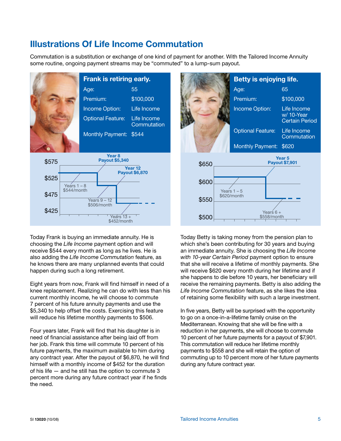## **Illustrations Of Life Income Commutation**

Commutation is a substitution or exchange of one kind of payment for another. With the Tailored Income Annuity some routine, ongoing payment streams may be "commuted" to a lump-sum payout.



Today Frank is buying an immediate annuity. He is choosing the *Life Income* payment option and will receive \$544 every month as long as he lives. He is also adding the *Life Income Commutation* feature, as he knows there are many unplanned events that could happen during such a long retirement.

Eight years from now, Frank will find himself in need of a knee replacement. Realizing he can do with less than his current monthly income, he will choose to commute 7 percent of his future annuity payments and use the \$5,340 to help offset the costs. Exercising this feature will reduce his lifetime monthly payments to \$506.

Four years later, Frank will find that his daughter is in need of financial assistance after being laid off from her job. Frank this time will commute 10 percent of his future payments, the maximum available to him during any contract year. After the payout of \$6,870, he will find himself with a monthly income of \$452 for the duration of his life — and he still has the option to commute 3 percent more during any future contract year if he finds the need.



Today Betty is taking money from the pension plan to which she's been contributing for 30 years and buying an immediate annuity. She is choosing the *Life Income with 10-year Certain Period* payment option to ensure that she will receive a lifetime of monthly payments. She will receive \$620 every month during her lifetime and if she happens to die before 10 years, her beneficiary will receive the remaining payments. Betty is also adding the *Life Income Commutation* feature, as she likes the idea of retaining some flexibility with such a large investment.

In five years, Betty will be surprised with the opportunity to go on a once-in-a-lifetime family cruise on the Mediterranean. Knowing that she will be fine with a reduction in her payments, she will choose to commute 10 percent of her future payments for a payout of \$7,901. This commutation will reduce her lifetime monthly payments to \$558 and she will retain the option of commuting up to 10 percent more of her future payments during any future contract year.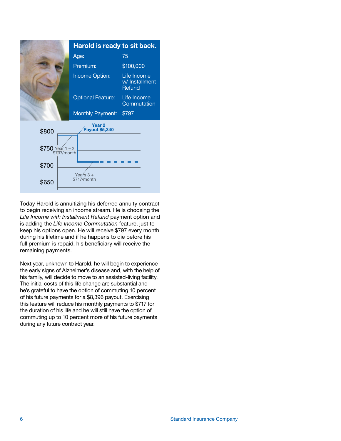

Today Harold is annuitizing his deferred annuity contract to begin receiving an income stream. He is choosing the *Life Income with Installment Refund* payment option and is adding the *Life Income Commutation* feature, just to keep his options open. He will receive \$797 every month during his lifetime and if he happens to die before his full premium is repaid, his beneficiary will receive the remaining payments.

Next year, unknown to Harold, he will begin to experience the early signs of Alzheimer's disease and, with the help of his family, will decide to move to an assisted-living facility. The initial costs of this life change are substantial and he's grateful to have the option of commuting 10 percent of his future payments for a \$8,396 payout. Exercising this feature will reduce his monthly payments to \$717 for the duration of his life and he will still have the option of commuting up to 10 percent more of his future payments during any future contract year.